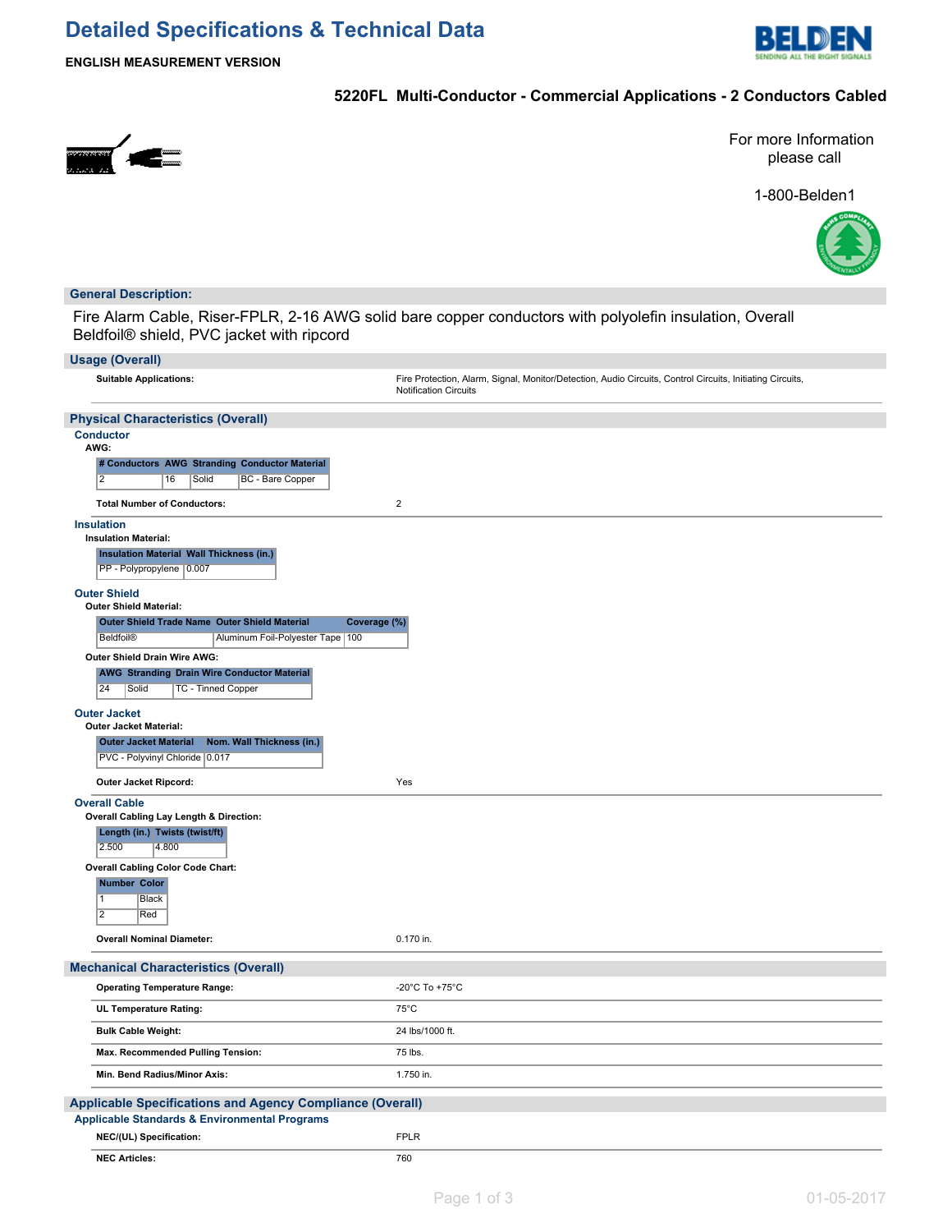# **Detailed Specifications & Technical Data**



**ENGLISH MEASUREMENT VERSION**

## **5220FL Multi-Conductor - Commercial Applications - 2 Conductors Cabled**



For more Information please call

1-800-Belden1



### **General Description:**

Fire Alarm Cable, Riser-FPLR, 2-16 AWG solid bare copper conductors with polyolefin insulation, Overall Beldfoil® shield, PVC jacket with ripcord

| <b>Usage (Overall)</b>                                                                                              |                                                                                                                                    |  |  |  |  |  |
|---------------------------------------------------------------------------------------------------------------------|------------------------------------------------------------------------------------------------------------------------------------|--|--|--|--|--|
| <b>Suitable Applications:</b>                                                                                       | Fire Protection, Alarm, Signal, Monitor/Detection, Audio Circuits, Control Circuits, Initiating Circuits,<br>Notification Circuits |  |  |  |  |  |
| <b>Physical Characteristics (Overall)</b>                                                                           |                                                                                                                                    |  |  |  |  |  |
| <b>Conductor</b><br>AWG:                                                                                            |                                                                                                                                    |  |  |  |  |  |
| # Conductors AWG Stranding Conductor Material<br>$\overline{2}$<br>16<br>Solid<br>BC - Bare Copper                  |                                                                                                                                    |  |  |  |  |  |
| <b>Total Number of Conductors:</b>                                                                                  | $\overline{2}$                                                                                                                     |  |  |  |  |  |
| <b>Insulation</b><br><b>Insulation Material:</b>                                                                    |                                                                                                                                    |  |  |  |  |  |
| <b>Insulation Material Wall Thickness (in.)</b><br>PP - Polypropylene 0.007                                         |                                                                                                                                    |  |  |  |  |  |
| <b>Outer Shield</b><br><b>Outer Shield Material:</b>                                                                |                                                                                                                                    |  |  |  |  |  |
| Outer Shield Trade Name Outer Shield Material<br>Coverage (%)                                                       |                                                                                                                                    |  |  |  |  |  |
| <b>Beldfoil®</b><br>Aluminum Foil-Polyester Tape   100<br><b>Outer Shield Drain Wire AWG:</b>                       |                                                                                                                                    |  |  |  |  |  |
| <b>AWG Stranding Drain Wire Conductor Material</b><br>24<br>TC - Tinned Copper<br>Solid                             |                                                                                                                                    |  |  |  |  |  |
| <b>Outer Jacket</b><br><b>Outer Jacket Material:</b>                                                                |                                                                                                                                    |  |  |  |  |  |
| Nom. Wall Thickness (in.)<br><b>Outer Jacket Material</b><br>PVC - Polyvinyl Chloride 0.017                         |                                                                                                                                    |  |  |  |  |  |
| Outer Jacket Ripcord:                                                                                               | Yes                                                                                                                                |  |  |  |  |  |
| <b>Overall Cable</b><br>Overall Cabling Lay Length & Direction:<br>Length (in.) Twists (twist/ft)<br>2.500<br>4.800 |                                                                                                                                    |  |  |  |  |  |
| <b>Overall Cabling Color Code Chart:</b>                                                                            |                                                                                                                                    |  |  |  |  |  |
| <b>Number Color</b><br>$\mathbf{1}$<br>Black<br>$\overline{2}$<br>Red                                               |                                                                                                                                    |  |  |  |  |  |
| <b>Overall Nominal Diameter:</b>                                                                                    | 0.170 in.                                                                                                                          |  |  |  |  |  |
| <b>Mechanical Characteristics (Overall)</b>                                                                         |                                                                                                                                    |  |  |  |  |  |
| <b>Operating Temperature Range:</b>                                                                                 | -20°C To +75°C                                                                                                                     |  |  |  |  |  |
| UL Temperature Rating:                                                                                              | $75^{\circ}$ C                                                                                                                     |  |  |  |  |  |
| <b>Bulk Cable Weight:</b>                                                                                           | 24 lbs/1000 ft.                                                                                                                    |  |  |  |  |  |
| Max. Recommended Pulling Tension:                                                                                   | 75 lbs.                                                                                                                            |  |  |  |  |  |
| Min. Bend Radius/Minor Axis:                                                                                        | 1.750 in.                                                                                                                          |  |  |  |  |  |
| <b>Applicable Standards &amp; Environmental Programs</b>                                                            | <b>Applicable Specifications and Agency Compliance (Overall)</b>                                                                   |  |  |  |  |  |
| NEC/(UL) Specification:                                                                                             | <b>FPLR</b>                                                                                                                        |  |  |  |  |  |
| <b>NEC Articles:</b>                                                                                                | 760                                                                                                                                |  |  |  |  |  |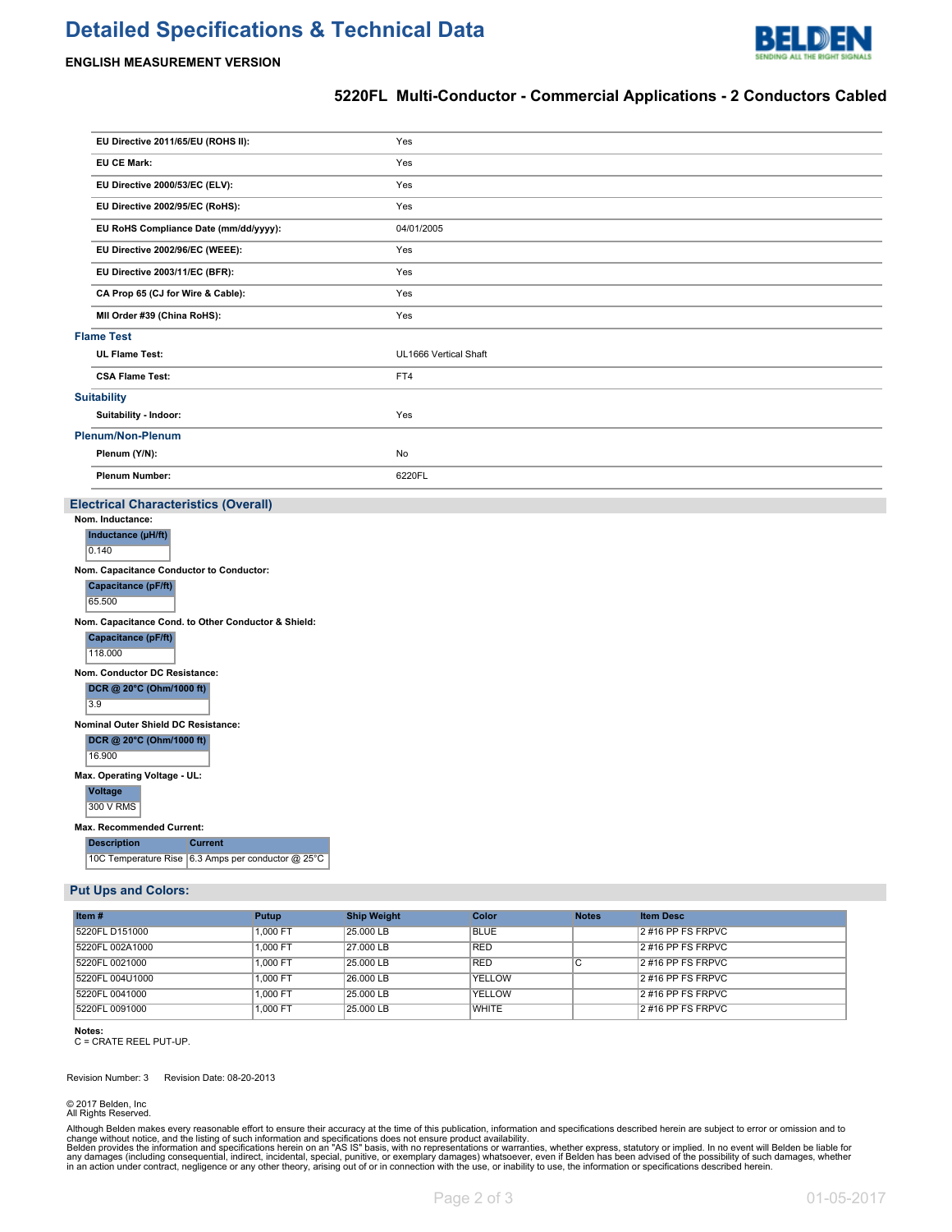# **Detailed Specifications & Technical Data**



#### **ENGLISH MEASUREMENT VERSION**

### **5220FL Multi-Conductor - Commercial Applications - 2 Conductors Cabled**

|                          | EU Directive 2011/65/EU (ROHS II):    | Yes                   |  |
|--------------------------|---------------------------------------|-----------------------|--|
|                          | <b>EU CE Mark:</b>                    | Yes                   |  |
|                          | EU Directive 2000/53/EC (ELV):        | Yes                   |  |
|                          | EU Directive 2002/95/EC (RoHS):       | Yes                   |  |
|                          | EU RoHS Compliance Date (mm/dd/yyyy): | 04/01/2005            |  |
|                          | EU Directive 2002/96/EC (WEEE):       | Yes                   |  |
|                          | EU Directive 2003/11/EC (BFR):        | Yes                   |  |
|                          | CA Prop 65 (CJ for Wire & Cable):     | Yes                   |  |
|                          | MII Order #39 (China RoHS):           | Yes                   |  |
| <b>Flame Test</b>        |                                       |                       |  |
|                          | <b>UL Flame Test:</b>                 | UL1666 Vertical Shaft |  |
|                          | <b>CSA Flame Test:</b>                | FT4                   |  |
|                          | <b>Suitability</b>                    |                       |  |
|                          | Suitability - Indoor:                 | Yes                   |  |
| <b>Plenum/Non-Plenum</b> |                                       |                       |  |
|                          | Plenum (Y/N):                         | No                    |  |
|                          | <b>Plenum Number:</b>                 | 6220FL                |  |

#### **Electrical Characteristics (Overall)**

|                                                     | Nom. Inductance:                         |                                                    |  |  |  |  |  |  |
|-----------------------------------------------------|------------------------------------------|----------------------------------------------------|--|--|--|--|--|--|
|                                                     | Inductance (µH/ft)                       |                                                    |  |  |  |  |  |  |
|                                                     | 0.140                                    |                                                    |  |  |  |  |  |  |
|                                                     | Nom. Capacitance Conductor to Conductor: |                                                    |  |  |  |  |  |  |
|                                                     | Capacitance (pF/ft)                      |                                                    |  |  |  |  |  |  |
|                                                     | 65.500                                   |                                                    |  |  |  |  |  |  |
| Nom. Capacitance Cond. to Other Conductor & Shield: |                                          |                                                    |  |  |  |  |  |  |
|                                                     | Capacitance (pF/ft)                      |                                                    |  |  |  |  |  |  |
|                                                     | 118.000                                  |                                                    |  |  |  |  |  |  |
|                                                     | Nom. Conductor DC Resistance:            |                                                    |  |  |  |  |  |  |
|                                                     | DCR @ 20°C (Ohm/1000 ft)                 |                                                    |  |  |  |  |  |  |
|                                                     | 3.9                                      |                                                    |  |  |  |  |  |  |
|                                                     | Nominal Outer Shield DC Resistance:      |                                                    |  |  |  |  |  |  |
|                                                     | DCR @ 20°C (Ohm/1000 ft)                 |                                                    |  |  |  |  |  |  |
|                                                     | 16.900                                   |                                                    |  |  |  |  |  |  |
|                                                     | Max. Operating Voltage - UL:             |                                                    |  |  |  |  |  |  |
|                                                     | <b>Voltage</b>                           |                                                    |  |  |  |  |  |  |
|                                                     | 300 V RMS                                |                                                    |  |  |  |  |  |  |
| <b>Max. Recommended Current:</b>                    |                                          |                                                    |  |  |  |  |  |  |
|                                                     | <b>Description</b>                       | <b>Current</b>                                     |  |  |  |  |  |  |
|                                                     |                                          | 10C Temperature Rise 6.3 Amps per conductor @ 25°C |  |  |  |  |  |  |

#### **Put Ups and Colors:**

| Item#           | Putup    | <b>Ship Weight</b> | Color        | <b>Notes</b> | <b>Item Desc</b>     |
|-----------------|----------|--------------------|--------------|--------------|----------------------|
| 5220FL D151000  | 1.000 FT | 25.000 LB          | <b>BLUE</b>  |              | 2 #16 PP FS FRPVC    |
| 5220FL 002A1000 | 1.000 FT | 27.000 LB          | <b>RED</b>   |              | 2 #16 PP FS FRPVC    |
| 5220FL 0021000  | 1.000 FT | 25,000 LB          | <b>RED</b>   | U            | $2$ #16 PP FS FRPVC  |
| 5220FL 004U1000 | 1.000 FT | 26,000 LB          | YELLOW       |              | $12$ #16 PP FS FRPVC |
| 5220FL 0041000  | 1.000 FT | 25.000 LB          | YELLOW       |              | $2$ #16 PP FS FRPVC  |
| 5220FL 0091000  | 1.000 FT | 25,000 LB          | <b>WHITE</b> |              | $2$ #16 PP FS FRPVC  |

**Notes:**

C = CRATE REEL PUT-UP.

Revision Number: 3 Revision Date: 08-20-2013

© 2017 Belden, Inc All Rights Reserved.

Although Belden makes every reasonable effort to ensure their accuracy at the time of this publication, information and specifications described herein are subject to error or omission and to<br>change without noice, and the